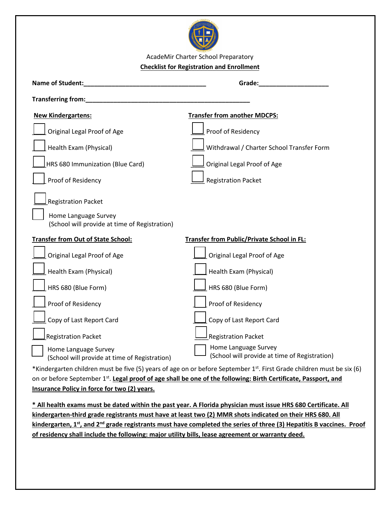

AcadeMir Charter School Preparatory **Checklist for Registration and Enrollment**

| Name of Student:                                                      | Grade:                                                                |  |  |  |  |
|-----------------------------------------------------------------------|-----------------------------------------------------------------------|--|--|--|--|
| Transferring from:                                                    |                                                                       |  |  |  |  |
| <b>New Kindergartens:</b>                                             | <b>Transfer from another MDCPS:</b>                                   |  |  |  |  |
| Original ZEE                                                          | Proof of Residency                                                    |  |  |  |  |
| Health Exam (Physical)                                                | Withdrawal / Charter School Transfer Form                             |  |  |  |  |
| HRS 680 Immunization (Blue Card)                                      | Original ZIII                                                         |  |  |  |  |
| Proof of Residency                                                    | <b>Registration Packet</b>                                            |  |  |  |  |
| <b>Registration Packet</b>                                            |                                                                       |  |  |  |  |
| Home Language Survey<br>(School will provide at time of Registration) |                                                                       |  |  |  |  |
| <b>Transfer from Out of State School:</b>                             | <b>Transfer from Public/Private School in FL:</b>                     |  |  |  |  |
| Original 71                                                           | Original ZTZ                                                          |  |  |  |  |
| Health Exam (Physical)                                                | Health Exam (Physical)                                                |  |  |  |  |
| HRS 680 (Blue Form)                                                   | HRS 680 (Blue Form)                                                   |  |  |  |  |
| Proof of Residency                                                    | Proof of Residency                                                    |  |  |  |  |
| Copy of Last Report Card                                              | Copy of Last Report Card                                              |  |  |  |  |
| <b>Registration Packet</b>                                            | <b>Registration Packet</b>                                            |  |  |  |  |
| Home Language Survey<br>(School will provide at time of Registration) | Home Language Survey<br>(School will provide at time of Registration) |  |  |  |  |

\***Kindergarten children must be five (5) years of age on or before September 1st . First Grade children must be six (6) on or before September 1 st .** 

**\*All health exams must be dated within the past year. A Florida physician must issue HRS 680 Certificate. All kindergarten-third grade registrants must have at least two (2) MMR shots indicated on their HRS 680. All kindergarten, 1st , and 2nd grade registrants must have completed the series of three (3) Hepatitis B vaccines. Proof of residency shall include the following: major utility bills, lease agreement or warranty deed.**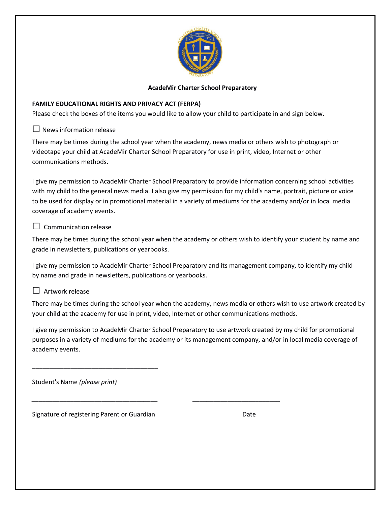

### **FAMILY EDUCATIONAL RIGHTS AND PRIVACY ACT (FERPA)**

Please check the boxes of the items you would like to allow your child to participate in and sign below.

 $\square$  News information release

There may be times during the school year when the academy, news media or others wish to photograph or videotape your child at AcadeMir Charter School Preparatory for use in print, video, Internet or other communications methods.

I give my permission to AcadeMir Charter School Preparatory to provide information concerning school activities with my child to the general news media. I also give my permission for my child's name, portrait, picture or voice to be used for display or in promotional material in a variety of mediums for the academy and/or in local media coverage of academy events.

### $\Box$  Communication release

There may be times during the school year when the academy or others wish to identify your student by name and grade in newsletters, publications or yearbooks.

I give my permission to AcadeMir Charter School Preparatory and its management company, to identify my child by name and grade in newsletters, publications or yearbooks.

### $\Box$  Artwork release

There may be times during the school year when the academy, news media or others wish to use artwork created by your child at the academy for use in print, video, Internet or other communications methods.

I give my permission to AcadeMir Charter School Preparatory to use artwork created by my child for promotional purposes in a variety of mediums for the academy or its management company, and/or in local media coverage of academy events.

*\_\_\_\_\_\_\_\_\_\_\_\_\_\_\_\_\_\_\_\_\_\_\_\_\_\_\_\_\_\_\_\_\_\_\_\_ \_\_\_\_\_\_\_\_\_\_\_\_\_\_\_\_\_\_\_\_\_\_\_\_\_*

Student's Name *(please print)*

Signature of registering Parent or Guardian Date Date

\_\_\_\_\_\_\_\_\_\_\_\_\_\_\_\_\_\_\_\_\_\_\_\_\_\_\_\_\_\_\_\_\_\_\_\_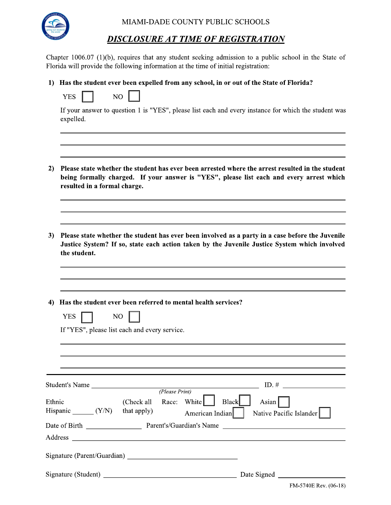

MIAMI-DADE COUNTY PUBLIC SCHOOLS

## DISCLOSURE AT TIME OF REGISTRATION

Chapter 1006.07  $(1)(b)$ , requires that any student seeking admission to a public school in the State of Florida will provide the following information at the time of initial registration:

1) Has the student ever been expelled from any school, in or out of the State of Florida?

| .<br>. . |  | ◟ |
|----------|--|---|
|----------|--|---|

If your answer to question 1 is "YES", please list each and every instance for which the student was expelled.

- 2) Please state whether the student has ever been arrested where the arrest resulted in the student being formally charged. If your answer is "YES", please list each and every arrest which resulted in a formal charge.
- 3) Please state whether the student has ever been involved as a party in a case before the Juvenile Justice System? If so, state each action taken by the Juvenile Justice System which involved the student.

4) Has the student ever been referred to mental health services?

| <b>YES</b>                             | NO<br>If "YES", please list each and every service. |                |                                                                                    |
|----------------------------------------|-----------------------------------------------------|----------------|------------------------------------------------------------------------------------|
|                                        |                                                     |                |                                                                                    |
|                                        |                                                     | (Please Print) | $ID.$ # $\qquad \qquad$<br>Student's Name                                          |
| Ethnic<br>Hispanic $(Y/N)$ that apply) | (Check all                                          |                | Race: White<br><b>Black</b><br>Asian<br>American Indian<br>Native Pacific Islander |
|                                        |                                                     |                | Date of Birth Parent's/Guardian's Name                                             |
|                                        |                                                     |                |                                                                                    |
|                                        |                                                     |                |                                                                                    |
|                                        |                                                     |                | Date Signed                                                                        |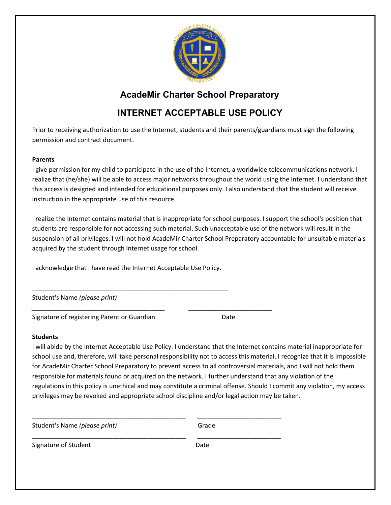

## **INTERNET ACCEPTABLE USE POLICY**

Prior to receiving authorization to use the Internet, students and their parents/guardians must sign the following permission and contract document.

### **Parents**

I give permission for my child to participate in the use of the Internet, a worldwide telecommunications network. I realize that (he/she) will be able to access major networks throughout the world using the Internet. I understand that this access is designed and intended for educational purposes only. I also understand that the student will receive instruction in the appropriate use of this resource.

I realize the Internet contains material that is inappropriate for school purposes. I support the school's position that students are responsible for not accessing such material. Such unacceptable use of the network will result in the suspension of all privileges. I will not hold AcadeMir Charter School Preparatory accountable for unsuitable materials acquired by the student through Internet usage for school.

I acknowledge that I have read the Internet Acceptable Use Policy.

\_\_\_\_\_\_\_\_\_\_\_\_\_\_\_\_\_\_\_\_\_\_\_\_\_\_\_\_\_\_\_\_\_\_\_\_\_\_\_\_\_\_\_\_\_\_\_\_\_\_\_\_\_\_\_\_

Student's Name *(please print)*

Signature of registering Parent or Guardian Date

*\_\_\_\_\_\_\_\_\_\_\_\_\_\_\_\_\_\_\_\_\_\_\_\_\_\_\_\_\_\_\_\_\_\_\_\_\_\_* 

 *\_\_\_\_\_\_\_\_\_\_\_\_\_\_\_\_\_\_\_\_\_\_\_\_*

#### **Students**

I will abide by the Internet Acceptable Use Policy. I understand that the Internet contains material inappropriate for school use and, therefore, will take personal responsibility not to access this material. I recognize that it is impossible for AcadeMir Charter School Preparatory to prevent access to all controversial materials, and I will not hold them responsible for materials found or acquired on the network. I further understand that any violation of the regulations in this policy is unethical and may constitute a criminal offense. Should I commit any violation, my access privileges may be revoked and appropriate school discipline and/or legal action may be taken.

\_\_\_\_\_\_\_\_\_\_\_\_\_\_\_\_\_\_\_\_\_\_\_\_\_\_\_\_\_\_\_\_\_\_\_\_\_\_\_\_\_\_\_\_ \_\_\_\_\_\_\_\_\_\_\_\_\_\_\_\_\_\_\_\_\_\_\_\_

\_\_\_\_\_\_\_\_\_\_\_\_\_\_\_\_\_\_\_\_\_\_\_\_\_\_\_\_\_\_\_\_\_\_\_\_\_\_\_\_\_\_\_\_ \_\_\_\_\_\_\_\_\_\_\_\_\_\_\_\_\_\_\_\_\_\_\_\_

| Student's Name (please print) | Grade |
|-------------------------------|-------|
|-------------------------------|-------|

Signature of Student **Date**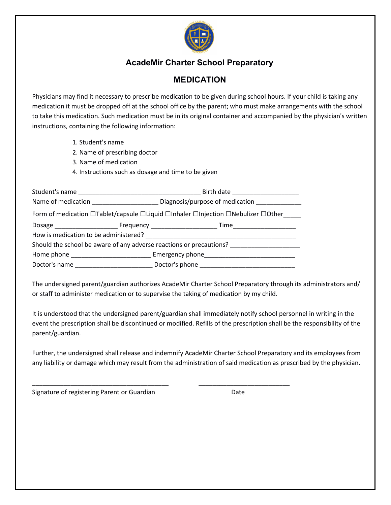

## **MEDICATION**

Physicians may find it necessary to prescribe medication to be given during school hours. If your child is taking any medication it must be dropped off at the school office by the parent; who must make arrangements with the school to take this medication. Such medication must be in its original container and accompanied by the physician's written instructions, containing the following information:

- 1. Student's name
- 2. Name of prescribing doctor
- 3. Name of medication
- 4. Instructions such as dosage and time to be given

| Name of medication <b>Name of medication</b> | Diagnosis/purpose of medication                                                                |  |  |  |  |
|----------------------------------------------|------------------------------------------------------------------------------------------------|--|--|--|--|
|                                              | Form of medication □Tablet/capsule □Liquid □Inhaler □Injection □Nebulizer □Other               |  |  |  |  |
|                                              | Dosage <b>Example 20</b> Frequency <b>Example 20 Frequency Example 20 Finne</b>                |  |  |  |  |
| How is medication to be administered?        |                                                                                                |  |  |  |  |
|                                              | Should the school be aware of any adverse reactions or precautions?                            |  |  |  |  |
|                                              | Home phone example and the example of Emergency phone and the example of the example of $\sim$ |  |  |  |  |
|                                              | Doctor's name Doctor's phone                                                                   |  |  |  |  |

\_\_\_\_\_\_\_\_\_\_\_\_\_\_\_\_\_\_\_\_\_\_\_\_\_\_\_\_\_\_\_\_\_\_\_\_\_\_\_ \_\_\_\_\_\_\_\_\_\_\_\_\_\_\_\_\_\_\_\_\_\_\_\_\_\_

The undersigned parent/guardian authorizes AcadeMir Charter School Preparatory through its administrators and/ or staff to administer medication or to supervise the taking of medication by my child.

It is understood that the undersigned parent/guardian shall immediately notify school personnel in writing in the event the prescription shall be discontinued or modified. Refills of the prescription shall be the responsibility of the parent/guardian.

Further, the undersigned shall release and indemnify AcadeMir Charter School Preparatory and its employees from any liability or damage which may result from the administration of said medication as prescribed by the physician.

Signature of registering Parent or Guardian Date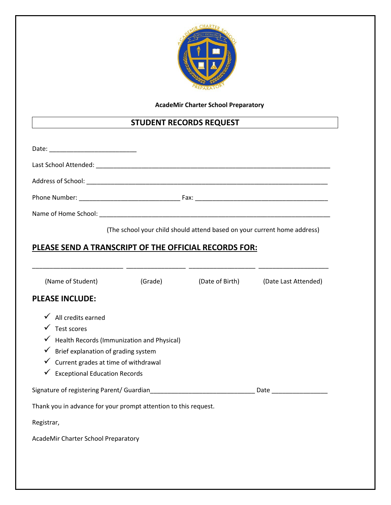

## **STUDENT RECORDS REQUEST**

|                                                                                                                                                                                                                                                                                                                                                                                               |         | (The school your child should attend based on your current home address) |                      |
|-----------------------------------------------------------------------------------------------------------------------------------------------------------------------------------------------------------------------------------------------------------------------------------------------------------------------------------------------------------------------------------------------|---------|--------------------------------------------------------------------------|----------------------|
| PLEASE SEND A TRANSCRIPT OF THE OFFICIAL RECORDS FOR:                                                                                                                                                                                                                                                                                                                                         |         |                                                                          |                      |
|                                                                                                                                                                                                                                                                                                                                                                                               |         |                                                                          |                      |
| (Name of Student)                                                                                                                                                                                                                                                                                                                                                                             | (Grade) | (Date of Birth)                                                          | (Date Last Attended) |
| <b>PLEASE INCLUDE:</b>                                                                                                                                                                                                                                                                                                                                                                        |         |                                                                          |                      |
| $\checkmark$ All credits earned<br>$\checkmark$ Test scores<br>$\checkmark$ Health Records (Immunization and Physical)<br>$\checkmark$ Brief explanation of grading system<br>$\checkmark$ Current grades at time of withdrawal<br>$\checkmark$ Exceptional Education Records<br>Signature of registering Parent/ Guardian<br>Thank you in advance for your prompt attention to this request. |         |                                                                          |                      |
| Registrar,                                                                                                                                                                                                                                                                                                                                                                                    |         |                                                                          |                      |
| AcadeMir Charter School Preparatory                                                                                                                                                                                                                                                                                                                                                           |         |                                                                          |                      |
|                                                                                                                                                                                                                                                                                                                                                                                               |         |                                                                          |                      |
|                                                                                                                                                                                                                                                                                                                                                                                               |         |                                                                          |                      |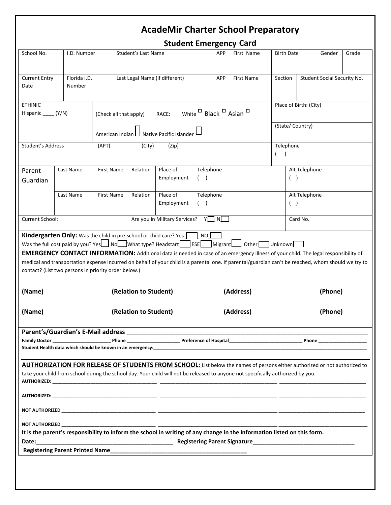**Student Emergency Card** 

| School No.                                                                                                                                                                                                                                                                                                                                                                                                                                                                                                                                             | I.D. Number                                                |                    |                                | Student's Last Name |                                                                                                                     |                  | יי-יס<br><b>APP</b> | First Name                                                                                                                                                                                                                                                    | <b>Birth Date</b>      |                 | Gender                      | Grade |  |
|--------------------------------------------------------------------------------------------------------------------------------------------------------------------------------------------------------------------------------------------------------------------------------------------------------------------------------------------------------------------------------------------------------------------------------------------------------------------------------------------------------------------------------------------------------|------------------------------------------------------------|--------------------|--------------------------------|---------------------|---------------------------------------------------------------------------------------------------------------------|------------------|---------------------|---------------------------------------------------------------------------------------------------------------------------------------------------------------------------------------------------------------------------------------------------------------|------------------------|-----------------|-----------------------------|-------|--|
| <b>Current Entry</b><br>Date                                                                                                                                                                                                                                                                                                                                                                                                                                                                                                                           | Florida I.D.<br>Number                                     |                    | Last Legal Name (if different) |                     |                                                                                                                     |                  | APP                 | First Name                                                                                                                                                                                                                                                    | Section                |                 | Student Social Security No. |       |  |
| <b>ETHINIC</b><br>Hispanic _____ (Y/N)                                                                                                                                                                                                                                                                                                                                                                                                                                                                                                                 | white □ Black □ Asian □<br>RACE:<br>(Check all that apply) |                    |                                |                     |                                                                                                                     |                  |                     | Place of Birth: (City)                                                                                                                                                                                                                                        |                        |                 |                             |       |  |
|                                                                                                                                                                                                                                                                                                                                                                                                                                                                                                                                                        |                                                            | American Indian LI |                                |                     | Native Pacific Islander                                                                                             |                  |                     |                                                                                                                                                                                                                                                               |                        | (State/Country) |                             |       |  |
| Student's Address                                                                                                                                                                                                                                                                                                                                                                                                                                                                                                                                      |                                                            | (APT)              |                                | (City)              | (Zip)                                                                                                               |                  |                     |                                                                                                                                                                                                                                                               | Telephone              |                 |                             |       |  |
| Parent<br>Guardian                                                                                                                                                                                                                                                                                                                                                                                                                                                                                                                                     | Last Name                                                  | <b>First Name</b>  |                                | Relation            | Place of<br>Employment                                                                                              | Telephone<br>(   |                     |                                                                                                                                                                                                                                                               | Alt Telephone<br>$($ ) |                 |                             |       |  |
|                                                                                                                                                                                                                                                                                                                                                                                                                                                                                                                                                        | Last Name                                                  | <b>First Name</b>  |                                | Relation            | Place of<br>Employment                                                                                              | Telephone<br>( ) |                     |                                                                                                                                                                                                                                                               | Alt Telephone<br>( )   |                 |                             |       |  |
| Current School:                                                                                                                                                                                                                                                                                                                                                                                                                                                                                                                                        |                                                            |                    |                                |                     | Are you in Military Services? $Y \square N$                                                                         |                  |                     |                                                                                                                                                                                                                                                               | Card No.               |                 |                             |       |  |
| Was the full cost paid by you? Yes $\Box$ No $\Box$ What type? Headstart $\Box$ ESE $\Box$ Migrant $\Box$ Other $\Box$ Unknown<br><b>EMERGENCY CONTACT INFORMATION:</b> Additional data is needed in case of an emergency illness of your child. The legal responsibility of<br>medical and transportation expense incurred on behalf of your child is a parental one. If parental/guardian can't be reached, whom should we try to<br>contact? (List two persons in priority order below.)<br>(Name)<br>(Relation to Student)<br>(Address)<br>(Phone) |                                                            |                    |                                |                     |                                                                                                                     |                  |                     |                                                                                                                                                                                                                                                               |                        |                 |                             |       |  |
| (Name)                                                                                                                                                                                                                                                                                                                                                                                                                                                                                                                                                 | (Relation to Student)                                      |                    |                                |                     | (Address)                                                                                                           | (Phone)          |                     |                                                                                                                                                                                                                                                               |                        |                 |                             |       |  |
|                                                                                                                                                                                                                                                                                                                                                                                                                                                                                                                                                        |                                                            |                    |                                |                     | Parent's/Guardian's E-Mail address entry and the manufactured and the manufactured and the manufactured and th      |                  |                     |                                                                                                                                                                                                                                                               |                        |                 |                             |       |  |
|                                                                                                                                                                                                                                                                                                                                                                                                                                                                                                                                                        |                                                            |                    |                                |                     |                                                                                                                     |                  |                     | AUTHORIZATION FOR RELEASE OF STUDENTS FROM SCHOOL: List below the names of persons either authorized or not authorized to<br>take your child from school during the school day. Your child will not be released to anyone not specifically authorized by you. |                        |                 |                             |       |  |
|                                                                                                                                                                                                                                                                                                                                                                                                                                                                                                                                                        |                                                            |                    |                                |                     |                                                                                                                     |                  |                     |                                                                                                                                                                                                                                                               |                        |                 |                             |       |  |
|                                                                                                                                                                                                                                                                                                                                                                                                                                                                                                                                                        |                                                            |                    |                                |                     |                                                                                                                     |                  |                     |                                                                                                                                                                                                                                                               |                        |                 |                             |       |  |
|                                                                                                                                                                                                                                                                                                                                                                                                                                                                                                                                                        |                                                            |                    |                                |                     |                                                                                                                     |                  |                     | NOT AUTHORIZED AND THE RESERVED OF THE RESERVED OF THE RESERVED OF THE RESERVED OF THE RESERVED OF THE RESERVED OF THE RESERVED OF THE RESERVED OF THE RESERVED OF THE RESERVED OF THE RESERVED OF THE RESERVED OF THE RESERVE                                |                        |                 |                             |       |  |
|                                                                                                                                                                                                                                                                                                                                                                                                                                                                                                                                                        |                                                            |                    |                                |                     |                                                                                                                     |                  |                     |                                                                                                                                                                                                                                                               |                        |                 |                             |       |  |
|                                                                                                                                                                                                                                                                                                                                                                                                                                                                                                                                                        |                                                            |                    |                                |                     |                                                                                                                     |                  |                     | It is the parent's responsibility to inform the school in writing of any change in the information listed on this form.                                                                                                                                       |                        |                 |                             |       |  |
|                                                                                                                                                                                                                                                                                                                                                                                                                                                                                                                                                        |                                                            |                    |                                |                     | Registering Parent Printed Name Manual Communication of the Communication of the Communication of the Communication |                  |                     |                                                                                                                                                                                                                                                               |                        |                 |                             |       |  |
|                                                                                                                                                                                                                                                                                                                                                                                                                                                                                                                                                        |                                                            |                    |                                |                     |                                                                                                                     |                  |                     |                                                                                                                                                                                                                                                               |                        |                 |                             |       |  |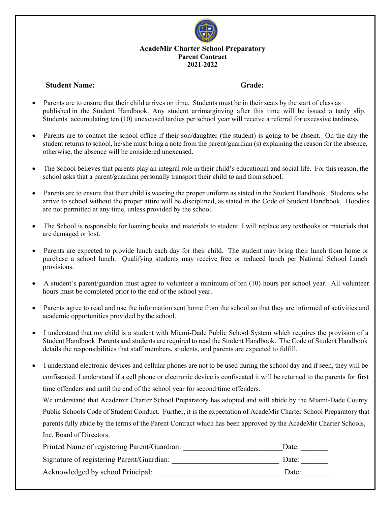

#### **AcadeMir Charter School Preparatory Parent Contract 2022-2023**

### **Student Name: Grade: Grade: Grade: Crade: Crade: Crade: Crade: Crade: Crade: Crade: Crade: Crade: Crade: Crade: Crade: Crade: Crade: Crade: Crade: Crade: Crade: C**

- Parents are to ensure that their child arrives on time. Students must be in their seats by the start of class as published in the Student Handbook. Any student arrimarginving after this time will be issued a tardy slip. Students accumulating ten (10) unexcused tardies per school year will receive a referral for excessive tardiness.
- Parents are to contact the school office if their son/daughter (the student) is going to be absent. On the day the student returns to school, he/she must bring a note from the parent/guardian (s) explaining the reason for the absence, otherwise, the absence will be considered unexcused.
- The School believes that parents play an integral role in their child's educational and social life. For this reason, the school asks that a parent/guardian personally transport their child to and from school.
- Parents are to ensure that their child is wearing the proper uniform as stated in the Student Handbook. Students who arrive to school without the proper attire will be disciplined, as stated in the Code of Student Handbook. Hoodies are not permitted at any time, unless provided by the school.
- The School is responsible for loaning books and materials to student. I will replace any textbooks or materials that are damaged or lost.
- Parents are expected to provide lunch each day for their child. The student may bring their lunch from home or purchase a school lunch. Qualifying students may receive free or reduced lunch per National School Lunch provisions.
- A student's parent/guardian must agree to volunteer a minimum of ten (10) hours per school year. All volunteer hours must be completed prior to the end of the school year.
- Parents agree to read and use the information sent home from the school so that they are informed of activities and academic opportunities provided by the school.
- I understand that my child is a student with Miami-Dade Public School System which requires the provision of a Student Handbook. Parents and students are required to read the Student Handbook. The Code of Student Handbook details the responsibilities that staff members, students, and parents are expected to fulfill.
- I understand electronic devices and cellular phones are not to be used during the school day and if seen, they will be confiscated. I understand if a cell phone or electronic device is confiscated it will be returned to the parents for first time offenders and until the end of the school year for second time offenders.

We understand that Academir Charter School Preparatory has adopted and will abide by the Miami-Dade County Public Schools Code of Student Conduct. Further, it is the expectation of AcadeMir Charter School Preparatory that parents fully abide by the terms of the Parent Contract which has been approved by the AcadeMir Charter Schools, Inc. Board of Directors.

| Printed Name of registering Parent/Guardian: | Date: |
|----------------------------------------------|-------|
| Signature of registering Parent/Guardian:    | Date: |
| Acknowledged by school Principal:            | Date: |